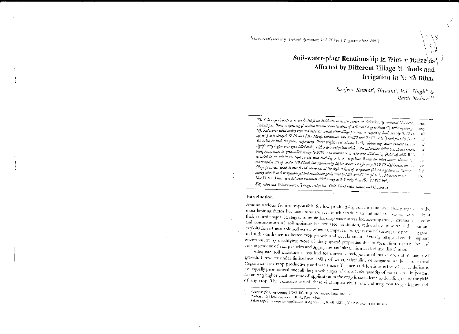# International Journal of Tropical Agriculture, Vol. 25 No. 1-2, (January-June, 2007)

Soil-water-plant Relationship in Winter Maize as Affected by Different Tillage M. hods and Irrigation in Nerth Bihar

> Sanjeev Kumar', Shivani', V.P Singh\* & Manil bushan\*\*\*

The field experiments were conducted from 2002-04 in winter season at Rajendra Agricultural Universit. Samastipur, Bibar comprising of sixteen treatment combination of different tillinge methods (4) and trigation joc-ency  $\{4\}$ . Rotavator tilled maize reported superior overall other tillage practices in respect of buile density (1.33 atm. . 30 mg m<sup>3</sup>), soil strength (2.10 and 2.05 MPa), infiltration rate (0.420 and 0.432 cm hr<sup>4</sup>) and perosity (49.8 and 50.94%) in both the years, respectively. Plant height, root valume, LAI, relative haf water content were resignificantly higher over zero-tilled maize with 5 to 6 irrigations while water saturation deficit had shown revens  $\Delta d$ being maximum in zero-tilled maize (6.91%) and minimum in rotavator tilled maize (4.62%) while WS. recorded to its minimum level in the crop receiving 5 to 6 irrigations. Rotavator tilled maize showed n; consumptive use of water (49.38cm) but significantly higher water use efficiency (119.39 Kg/ha-cm) over ... tillage practices, while it was found minimum at the highest level of irregation (95.28 kg/ha-an). Solar, and the maize with 5 to 6 irrigations fetched maximum grain yield (67.20 and 67.29 q/ ha'). Maximum net teacher the 16,833 hat ) was recorded with rotavator tilled maize with 5 irrigations (Rs. 14,815 hat).

Key words: Winter maize, Tillage, Irrigation, Yield, Plant-water status, and Heonomics

### Introduction

Among various factors responsible for low productivity, soil moisure availability regard most limiting factor because crops are very much sensitive to soil-moisture stress, parti-– s the their critical stages. Strategies to minimize crop water stress include-irrigation, increased see a zone tely at and conservation of soil moisture by increased infiltration, reduced evaporation and exploitation of available soil water. Whereas, impact of tillage is routed through by prove ag good  $\langle$ mun soil tilth conducive to better crop growth and development. Actually tillage alters rl: asphere environment by modifying most of the physical properties due to formation, destruction and rearrangement of soil particles and aggregates and alternation in clod size distribution.

Adequate soil moisture is required for normal development of maize crop at all stages of growth. However under limited availability of water, scheduling of irrigation at the asst critical stages increases crop productivity and water use efficiency as deleterious effect of water deficit is not equally pronounced over all the growth stages of crop. Only quantity of water is not important for getting higher yield but time of application to the crop is considered as deciding far for yield of any crop. The excessive use of these vital inputs viz. tillage and irrigation to py-higher and

Scientist (SS), Agronomy, ICAR-RCER, JCAR Parisar, Patna-800 014

Scientist(SS), Computer Application in Agriculture, ICAR-RCER, ICAR Parisar, Patna-B00 014

Professor & Head Agronomy RAU, Pusa, Bibar.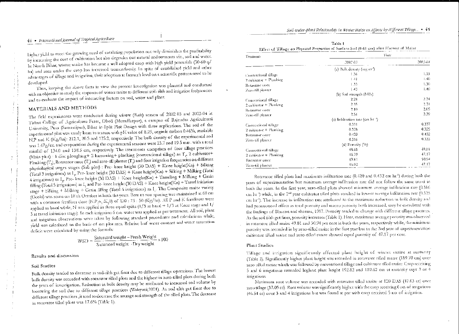44 • International Journal of Tropical Agriculture

higher yield to meet the growing need of escalating population not only diminishes the profitability by increasing the cost of cultivation but also degrades our natural endowments viz., soil and water. In North Bihar, winter maize has become a well adopted crop with high yield potentials (50-60 q/ ha) and area under the crop has increased tremendously. In spite of established yield and other advantages of tillage and irrigation, their adoption at farmer's level on a scientific pattern need to be developed.

Thus, keeping the above facts in view the present investigation was planned and conducted with an objective to study the response of winter maize to different soil- tilth and irrigation frequencies and to evaluate the impact of interacting factors on soil, water and plant.

# MATERIALS AND METHODS

The field experiments were conducted during winter (Rabi) season of 2002-03 and 2003-04 at Tirhut College of Agriculture Farm, Dholi (Muzaffarpur), a campus of Rajendra Agricultural University, Pusa (Samastipur), Bihar in Split Plot Design with three replications. The soil of the experimental plot was sandy loam in texture with pH value of 8.25, organic carbon 0.46%, available N.P and K (Kg/ha): 212.1, 20.5 and 125.2, respectively. The bulk density of the experimental soil was 1.47g/cc, and evaporation during the experimental seasons were 23.7 and 19.5 mm, with a total rainfall of 134.0 and 138.5 cm, respectively. The treatments comprises of four tillage practices (Main plot) : 1 disc ploughing+ 2 harrowing+ planking (conventional tillage) as T., 2 cultivator+ Planking (T,), Rotavator once (T,) and zero-till planter (T,) and four irrigation frequencies on different physiological stages stages (Sub plot) : Pre- knee height (30 DAS) + Knee height(Kn) + Silking (Total 3 irrigations) as I<sub>1</sub>, Pre- knee height (30 DAS) + Knee height(Kn) + Silking + Milking (Total 4 irrigations) as  $I_2$ , Pre- knee height (30 DAS) + Knee height(Kn) + Tasseling + Milking + Grain filling (Total 5 irrigations) as I, and Pre-knee height (30 DAS) + Knee height (Kn) + Tassel initiation stage + Silking + Milking + Grain filling (Total 6 irrigations) as I. The Composite maize variety (Deoki) was sown on 18 th October in hoth the years. Row to row spacing was maintained at 60 cm with a common fertilizer dose (N:P<sub>2</sub>O<sub>3</sub>:K<sub>2</sub>O) of 120 : 75 : 50 (Kg/ha). All P and K fertilizers were applied as basal while, N was applied in three equal splits  $(1/3 \text{ as basal} + 1/3 \text{ at Kace stage and } 1/$ 3 at tassel initiation stage). In each irrigation 6 cm, water was applied as per treatment. All soil, plant and irrigation observations were taken by following standard procedures and calculations while, vield was calculated on the basis of net plot area. Relative leaf water content and water saturation deficit were calculated by using the formula:

 $WSD = \frac{Saturated weight - Fresh \text{ Weight}}{Saturated weight - Dry \text{ weight}} \times 100$ 

### Results and discussion

### **Soil Studies**

Bulk density tended to decrease as soil-tilth get finer due to different tillage operations. The lowest bulk density was recorded with rotavator tilled plots and the highest in zero-tilled plots during both the years of investigation. Reduction in bulk density may be attributed to increased soil volume by loosening the soil due to different tillage practices (Wahyuni, 2001). As soil tilth get finer due to different ullage practices ,it tend to decrease the average soil strength of the tilled plots. The decrease in rotavator tilled plots was 17.6% (Table 1).

| Table 1                                                                                   |  |
|-------------------------------------------------------------------------------------------|--|
| Effect of Tillage on Physical Properties of Surface Soil (0-60 cm) after Harvest of Maize |  |

| Treatments              | Years                                         |         |
|-------------------------|-----------------------------------------------|---------|
|                         | 2002-03.                                      | 2003-04 |
|                         | (a) Bulk densaty (rog m <sup>-1</sup> )       |         |
| Conventional tillage    | 1.36                                          | 1.33    |
| 2 cultivator + Planking | $1 - 41$                                      | 1.40    |
| Rotavator once          | 1.33                                          | 1.30    |
| Zero-till planter       | 1.43                                          | 1.40    |
|                         | (b) Soil strength (MPa)                       |         |
| Conventional tillage    | 2.28                                          | 2.24    |
| 2 cultivator + Planking | 2.35                                          | 2.31    |
| Rotavator once          | 2.10                                          | 2.05    |
| Zero-till planter       | 2.56                                          | 2.39    |
|                         | (c) Infiltration rate (can ht <sup>21</sup> ) |         |
| Conventional tillage    | 0.331                                         | 0.337   |
| 2 cultivator + Planking | 0.328                                         | 0.325   |
| Rotavator ouce          | 0.420                                         | 0.432   |
| Zero-till planter       | 0.316                                         | 0.335   |
|                         | (d) Porosity (%)                              |         |
| Conventional rillage    | 48.68                                         | 49.81   |
| 2 cultivator + Planking | 46.79                                         | 47.17   |
| Rotavator once          | 49.81                                         | 50.94   |
| Zero-tiil planter       | 46.02                                         | 47.17   |

Rotavator tilled plots had maximum infiltration rate (0.420 and 0.432 cm hr<sup>1</sup>) during both the years of experimentation but minimum average infiltration rate did not follow the same trend in both the years. In the first year, zero-tilled plots showed minimum average infiltration rate (0.316 ciu hr ?) while, in the 2<sup>nd</sup> year cultivator tilled plots resulted in lowest average infiltration rate (0.325 cm hr<sup>4</sup>). The increase in infiltration rate attributed to the maximum reduction in bolk density and had pronounced effect as total porosity and macro porosity both increased, may be correlated with the findings of Bhusan and sharma, 1997. Potosity tended to change with different allage practices. As the soil filth get finer, porosity increases (Table 1). Here, maximum average porosity was observed in rotavator tilled maize 49.81 and 50.94 per cent in both the years, respectively while, the minimum porosity was recorded in by zero-filled maize in the first year but in the 2nd year of experimentation cultivator tilled maize and zero-tilled maize showed equal porosity of 47.17 per cent.

### **Plant Studies**

Tillage and irrigation siguificantly affected plant height of winter maize at maturity (Table 2). Significantly higher plant height was recorded in rotavator filled maize (189.70 cm) over zero-tilled maize which was followed by conventional tillage and cultivator tilled maize. Crop receiving 5 and 6 irrigations recorded highest plant height 192.82 and 189.62 cm at maturity over 3 or 4 itrigations.

Maximum root volume was recorded with rotavator tilled maize at 120 DAS (47.63 cc) over zero tillage (37.05 cc). Root volume was significantly higher with the erop receiving 6 no. of irrigations (46.54 cc) over 3 and 4 irrigations but was found at par with crop received 5 no. of irrigation.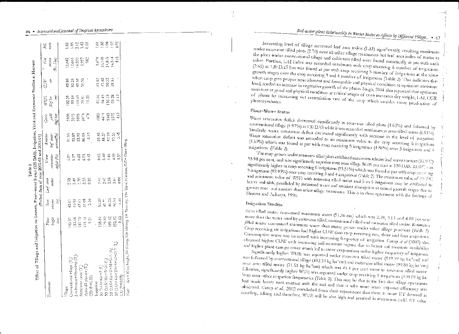| Effect of Tillage and Irdgation on Growth, Plant-water Status (120 DAS), Irrigation, Yield and Economic Studies at Harvest                     |                                             |                            |                                            | (Polled data of year 2002-03 and 2003-04)<br>Table 2       |                                    |                                                                 |                                         |                                           |                                            |                               |
|------------------------------------------------------------------------------------------------------------------------------------------------|---------------------------------------------|----------------------------|--------------------------------------------|------------------------------------------------------------|------------------------------------|-----------------------------------------------------------------|-----------------------------------------|-------------------------------------------|--------------------------------------------|-------------------------------|
| Treatureats                                                                                                                                    | Plant<br>J.<br>bagh                         | Rest<br>reinne<br>E        | Leaf area<br>index                         | deficit ( <sup>19</sup> e)<br>aturation<br>$W\sigma\omega$ | leaf water<br>content(%)<br>Relain | $j\dot{m}$<br>$\langle k_{\rm E}/\delta \sigma \rangle$<br>Gran | Ì<br><b>INDE</b><br>Kg/dn               | 8<br><b>CUP</b>                           | ž<br>relarn<br>(Rs. /wt                    | ں<br>غ<br>tain                |
| 2 cultivator+PlanVing (1)<br>Conventional filage (T.)<br>Recavator once (12)<br>$Z_{\text{CPO}}$ -till planter $(T)$<br>CD (P=0.05)<br>Tillage | 32.48<br>175.13<br>$\overline{5}$<br>185.81 | ងនិង<br>ដូច្និង គឺ         | 2.35<br>$\frac{8}{6}$<br>2.49<br>ΡŽΩ<br>្អ | 5<br>4 5 8 5<br>4 5 4 6<br>0.43                            | ភូនក្តុ<br>ត្តត្តក្តុ              | 100<br>1000011                                                  | 102.39<br>119.39<br>ia<br>Elia<br>SS.84 | 49.80<br>50.38<br>49.38<br>$\frac{5}{10}$ | 12,642<br>12,663<br>$16,833$<br>5.997<br>š | 188<br>1891 1989<br>1981 1989 |
| CD EU-NA-N-YA-SYO Da<br>N+S+1.L+4M+SNG 0S<br>U. 20 DAS = K++S+A<br>(1) のもとば きんくだいえ<br>$(10.07 - 0.05)$<br>Irneanon                             | 232<br>168.86<br>79.82<br>189.62<br>192.82  | 等于<br>ងជា<br>អ្នក<br>46.54 | es<br>0.08<br>445<br>242<br>$\frac{5}{20}$ | 6.62<br>6.40<br>4.86<br>4.59<br>0.57                       | 45<br>882<br>828<br>Ş.<br>5.5      | 딾<br>000 1000<br>000 1000<br>0000                               | 3.12<br>esta<br>Satera<br>Satera        | និង<br>ដូចខ្លួ                            | e:0                                        | <b>SESSE</b>                  |

Increasing level of tillage increased leaf atea index (LAI) significantly, resulting maximum under rotavator tilled plots (2.70) over all other tillage treatments but leaf area index of maize in the plots under conventional tillage and cultivator tilled were found statistically at par with each other. Further, LAI index was recorded maximum with crop receiving 6 number of irrigations

# Soil-water-plant Relationsbip in Winter Maize as Affects by Different Tillage... • 47

46 • International Journal of Tropical Agriculture

븚

G

Ć

.<br>Son,

Į

Š

Milking.

 $\frac{1}{2}$ 

S= Siking.

**Freight** 

Kakel

8

(2.61) at 120 DAS but was found at par with crop receiving 5 number of irrigations at the same growth stages over the crop receiving 3 and 4 number of irrigations (Table 2). This indicates that when erop gets proper nourishment and favourable soil physical condition at optimum moisture level, tended to increase in vegetative growth of the plants. Singh, 2001 also reported that optimum moisture at good soil physical condition at critical stages of corn increases dry weight, LAI, CGR of plants by increasing net assimilation rate of the erop which enables more production of

# Plant-Water Status

Water saturation deficit decreased significantly in rotavator tilled plots (4.62%) and followed by conventional tillage (4.97%) at 120 DAS while it was recorded maximum in zero-tilled maize (6.91%). Similarly, water saturation deficit decreased significantly with increase in the level of irrigation. Water saturation deficit was recorded to its minimum value to the crop receiving 6 irrigations (4.59%) which was found at par with crop receiving 5 irrigations (4.86%) over 3 irrigations and 4

The crop grown under rotavator tilled plots exhibited maximum relative leaf-water content (RLWC). 93.98 per cent, and was significantly superior over zero tillage 86.05 per cent at 120 DAS. RLWC was significantly higher in erop receiving 6 irrigations (93.51%) which was found at par with erop recurring 5 irrigations (92.99%) over crop receiving 3 and 4 irrigations (Table 2). The maximum value of REWC and minimum value of WSD with rotavator tilled maize and 5 to 6 irrigations may be attributed to better soil-tilth, paralleled by increased water and nutrient absorption at critical growth stages due to greater root- soil contact than other tillage freatments. This is in close agreement with the findings of

## Irrigation Studies

Zero tilled maize consumed maximum water (51.36 cm) which was 2.24, 3.13 and 4.08 per cent more than the water used by cultivator filled, conventional filled and rotavator filled thaize. Rotavator tilled maize consumed minimum water than maize grown under other tillage practices (Fable 2) Crop receiving six irrigations had higher CUW than erop receiving two, shree and four irrigations. Consumptive water use increased with increasing frequency of irrigation Camp et al (2002) also obtained higher CUW with increasing soil morsture regime due to better soil morsture availability and higher plant canopy cover which led to more evaporation under higher frequency of irrigation.

Significantly higher WUE was reported under rotavator tilled matze (119.39 kg ha cm) and was followed by conventional tillage (102.39 kg ha<sup>-1</sup>cm) and cultivator tilled maize (99.84 kg ha<sup>-1</sup>cm) over zero tilled maize (71.51 kg ha<sup>-1</sup>cm) which was 41.4 per cent more in totavator tilled maize Likewise, significantly higher WUE was reported under crop receiving 5 irrigations (110.19 kg ha-'em) over other irrigation frequencies (Table 2). This may be due to the faci rhat rillage operations had made better root contact with the soil and that is why more water expense efficiency was observed. Camp et al., 2002 concluded from their experiment that there is more ET demand at tasseling, silking and therefore, WUE will be also high and resulted in maximum yield. ET value